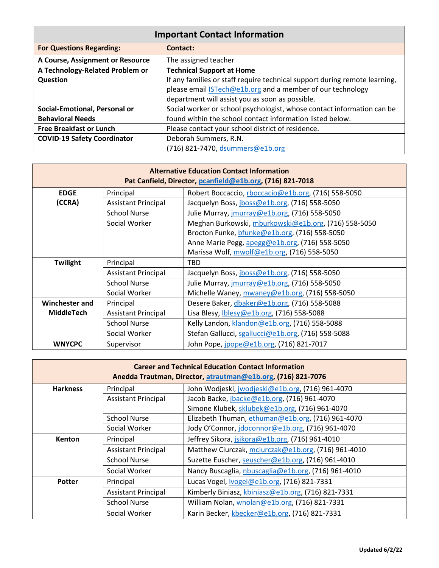| <b>Important Contact Information</b> |                                                                            |  |  |
|--------------------------------------|----------------------------------------------------------------------------|--|--|
| <b>For Questions Regarding:</b>      | Contact:                                                                   |  |  |
| A Course, Assignment or Resource     | The assigned teacher                                                       |  |  |
| A Technology-Related Problem or      | <b>Technical Support at Home</b>                                           |  |  |
| Question                             | If any families or staff require technical support during remote learning, |  |  |
|                                      | please email <b>STech@e1b.org</b> and a member of our technology           |  |  |
|                                      | department will assist you as soon as possible.                            |  |  |
| Social-Emotional, Personal or        | Social worker or school psychologist, whose contact information can be     |  |  |
| <b>Behavioral Needs</b>              | found within the school contact information listed below.                  |  |  |
| <b>Free Breakfast or Lunch</b>       | Please contact your school district of residence.                          |  |  |
| <b>COVID-19 Safety Coordinator</b>   | Deborah Summers, R.N.                                                      |  |  |
|                                      | (716) 821-7470, dsummers@e1b.org                                           |  |  |

| <b>Alternative Education Contact Information</b><br>Pat Canfield, Director, pcanfield@e1b.org, (716) 821-7018 |                            |                                                      |  |
|---------------------------------------------------------------------------------------------------------------|----------------------------|------------------------------------------------------|--|
| <b>EDGE</b>                                                                                                   | Principal                  | Robert Boccaccio, rboccacio@e1b.org, (716) 558-5050  |  |
| (CCRA)                                                                                                        | <b>Assistant Principal</b> | Jacquelyn Boss, jboss@e1b.org, (716) 558-5050        |  |
|                                                                                                               | <b>School Nurse</b>        | Julie Murray, jmurray@e1b.org, (716) 558-5050        |  |
|                                                                                                               | Social Worker              | Meghan Burkowski, mburkowski@e1b.org, (716) 558-5050 |  |
|                                                                                                               |                            | Brocton Funke, bfunke@e1b.org, (716) 558-5050        |  |
|                                                                                                               |                            | Anne Marie Pegg, apegg@e1b.org, (716) 558-5050       |  |
|                                                                                                               |                            | Marissa Wolf, mwolf@e1b.org, (716) 558-5050          |  |
| Twilight                                                                                                      | Principal                  | TBD                                                  |  |
|                                                                                                               | <b>Assistant Principal</b> | Jacquelyn Boss, jboss@e1b.org, (716) 558-5050        |  |
|                                                                                                               | <b>School Nurse</b>        | Julie Murray, jmurray@e1b.org, (716) 558-5050        |  |
|                                                                                                               | Social Worker              | Michelle Waney, mwaney@e1b.org, (716) 558-5050       |  |
| Winchester and                                                                                                | Principal                  | Desere Baker, dbaker@e1b.org, (716) 558-5088         |  |
| <b>MiddleTech</b>                                                                                             | <b>Assistant Principal</b> | Lisa Blesy, Iblesy@e1b.org, (716) 558-5088           |  |
|                                                                                                               | <b>School Nurse</b>        | Kelly Landon, klandon@e1b.org, (716) 558-5088        |  |
|                                                                                                               | Social Worker              | Stefan Gallucci, sgallucci@e1b.org, (716) 558-5088   |  |
| <b>WNYCPC</b>                                                                                                 | Supervisor                 | John Pope, jpope@e1b.org, (716) 821-7017             |  |

| <b>Career and Technical Education Contact Information</b><br>Anedda Trautman, Director, atrautman@e1b.org, (716) 821-7076 |                            |                                                     |  |
|---------------------------------------------------------------------------------------------------------------------------|----------------------------|-----------------------------------------------------|--|
| <b>Harkness</b>                                                                                                           | Principal                  | John Wodjeski, jwodjeski@e1b.org, (716) 961-4070    |  |
|                                                                                                                           | <b>Assistant Principal</b> | Jacob Backe, jbacke@e1b.org, (716) 961-4070         |  |
|                                                                                                                           |                            | Simone Klubek, sklubek@e1b.org, (716) 961-4070      |  |
|                                                                                                                           | <b>School Nurse</b>        | Elizabeth Thuman, ethuman@e1b.org, (716) 961-4070   |  |
|                                                                                                                           | Social Worker              | Jody O'Connor, jdoconnor@e1b.org, (716) 961-4070    |  |
| <b>Kenton</b>                                                                                                             | Principal                  | Jeffrey Sikora, jsikora@e1b.org, (716) 961-4010     |  |
|                                                                                                                           | <b>Assistant Principal</b> | Matthew Ciurczak, mciurczak@e1b.org, (716) 961-4010 |  |
|                                                                                                                           | <b>School Nurse</b>        | Suzette Euscher, seuscher@e1b.org, (716) 961-4010   |  |
|                                                                                                                           | Social Worker              | Nancy Buscaglia, nbuscaglia@e1b.org, (716) 961-4010 |  |
| Potter                                                                                                                    | Principal                  | Lucas Vogel, Ivogel@e1b.org, (716) 821-7331         |  |
|                                                                                                                           | <b>Assistant Principal</b> | Kimberly Biniasz, kbiniasz@e1b.org, (716) 821-7331  |  |
|                                                                                                                           | <b>School Nurse</b>        | William Nolan, wnolan@e1b.org, (716) 821-7331       |  |
|                                                                                                                           | Social Worker              | Karin Becker, kbecker@e1b.org, (716) 821-7331       |  |